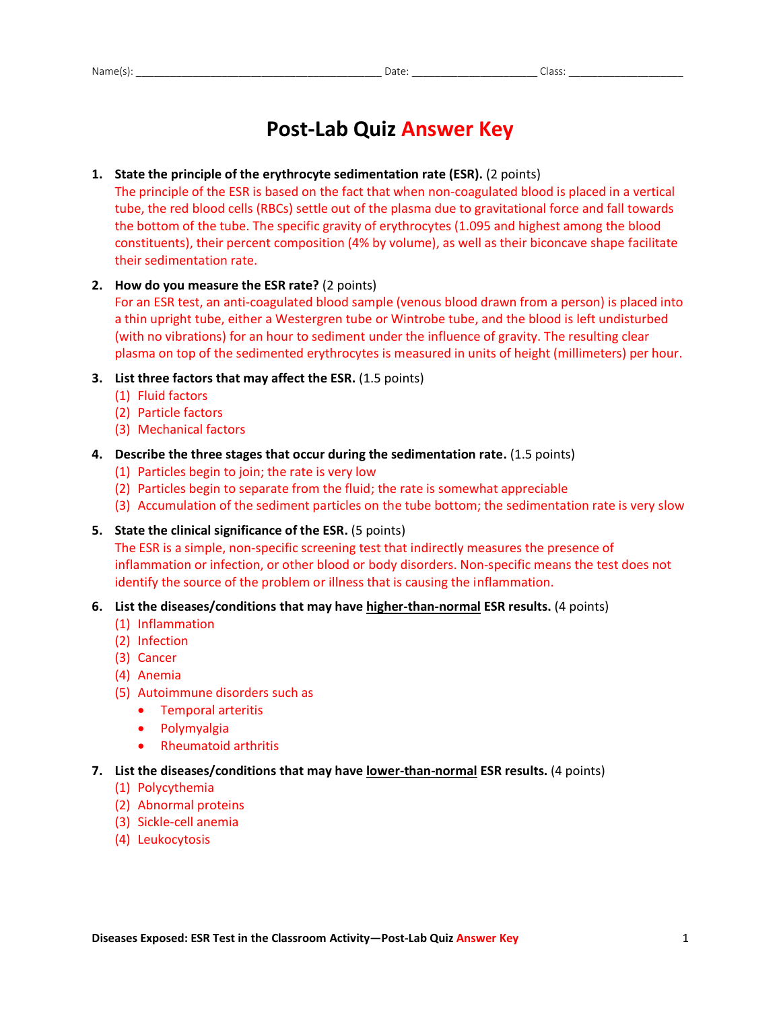# **Post-Lab Quiz Answer Key**

#### **1. State the principle of the erythrocyte sedimentation rate (ESR).** (2 points)

The principle of the ESR is based on the fact that when non-coagulated blood is placed in a vertical tube, the red blood cells (RBCs) settle out of the plasma due to gravitational force and fall towards the bottom of the tube. The specific gravity of erythrocytes (1.095 and highest among the blood constituents), their percent composition (4% by volume), as well as their biconcave shape facilitate their sedimentation rate.

#### **2. How do you measure the ESR rate?** (2 points)

For an ESR test, an anti-coagulated blood sample (venous blood drawn from a person) is placed into a thin upright tube, either a Westergren tube or Wintrobe tube, and the blood is left undisturbed (with no vibrations) for an hour to sediment under the influence of gravity. The resulting clear plasma on top of the sedimented erythrocytes is measured in units of height (millimeters) per hour.

#### **3. List three factors that may affect the ESR.** (1.5 points)

- (1) Fluid factors
- (2) Particle factors
- (3) Mechanical factors
- **4. Describe the three stages that occur during the sedimentation rate.** (1.5 points)
	- (1) Particles begin to join; the rate is very low
	- (2) Particles begin to separate from the fluid; the rate is somewhat appreciable
	- (3) Accumulation of the sediment particles on the tube bottom; the sedimentation rate is very slow
- **5. State the clinical significance of the ESR.** (5 points)

The ESR is a simple, non-specific screening test that indirectly measures the presence of inflammation or infection, or other blood or body disorders. Non-specific means the test does not identify the source of the problem or illness that is causing the inflammation.

#### **6. List the diseases/conditions that may have higher-than-normal ESR results.** (4 points)

- (1) Inflammation
- (2) Infection
- (3) Cancer
- (4) Anemia
- (5) Autoimmune disorders such as
	- Temporal arteritis
	- **•** Polymyalgia
	- Rheumatoid arthritis
- **7. List the diseases/conditions that may have lower-than-normal ESR results.** (4 points)
	- (1) Polycythemia
	- (2) Abnormal proteins
	- (3) Sickle-cell anemia
	- (4) Leukocytosis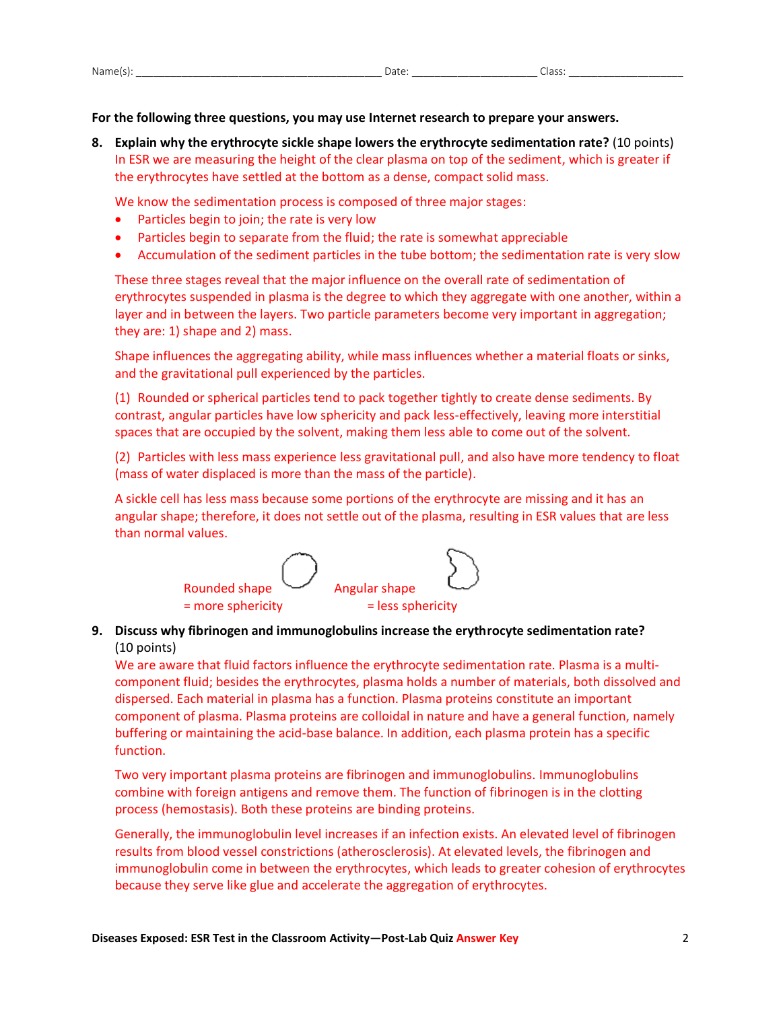| $\ddot{\phantom{1}}$<br>Name | ้วลา | -10 |
|------------------------------|------|-----|
|                              |      |     |

### **For the following three questions, you may use Internet research to prepare your answers.**

**8. Explain why the erythrocyte sickle shape lowers the erythrocyte sedimentation rate?** (10 points) In ESR we are measuring the height of the clear plasma on top of the sediment, which is greater if the erythrocytes have settled at the bottom as a dense, compact solid mass.

We know the sedimentation process is composed of three major stages:

- Particles begin to join; the rate is very low
- Particles begin to separate from the fluid; the rate is somewhat appreciable
- Accumulation of the sediment particles in the tube bottom; the sedimentation rate is very slow

These three stages reveal that the major influence on the overall rate of sedimentation of erythrocytes suspended in plasma is the degree to which they aggregate with one another, within a layer and in between the layers. Two particle parameters become very important in aggregation; they are: 1) shape and 2) mass.

Shape influences the aggregating ability, while mass influences whether a material floats or sinks, and the gravitational pull experienced by the particles.

(1) Rounded or spherical particles tend to pack together tightly to create dense sediments. By contrast, angular particles have low sphericity and pack less-effectively, leaving more interstitial spaces that are occupied by the solvent, making them less able to come out of the solvent.

(2) Particles with less mass experience less gravitational pull, and also have more tendency to float (mass of water displaced is more than the mass of the particle).

A sickle cell has less mass because some portions of the erythrocyte are missing and it has an angular shape; therefore, it does not settle out of the plasma, resulting in ESR values that are less than normal values.



## **9. Discuss why fibrinogen and immunoglobulins increase the erythrocyte sedimentation rate?** (10 points)

We are aware that fluid factors influence the erythrocyte sedimentation rate. Plasma is a multicomponent fluid; besides the erythrocytes, plasma holds a number of materials, both dissolved and dispersed. Each material in plasma has a function. Plasma proteins constitute an important component of plasma. Plasma proteins are colloidal in nature and have a general function, namely buffering or maintaining the acid-base balance. In addition, each plasma protein has a specific function.

Two very important plasma proteins are fibrinogen and immunoglobulins. Immunoglobulins combine with foreign antigens and remove them. The function of fibrinogen is in the clotting process (hemostasis). Both these proteins are binding proteins.

Generally, the immunoglobulin level increases if an infection exists. An elevated level of fibrinogen results from blood vessel constrictions (atherosclerosis). At elevated levels, the fibrinogen and immunoglobulin come in between the erythrocytes, which leads to greater cohesion of erythrocytes because they serve like glue and accelerate the aggregation of erythrocytes.